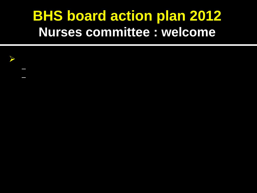## **BHS board action plan 2012** Nurses committee : welcome

- 
- - - - -
				- -
- -
	-
- 
- -
- 
- 
- 
- - - - -
				-
				-
	-
- 
- -
- 
- 
- 
- 
- 
- 
- 
- 
- 
- 
- 
- 
- 
- 
- 
- 
- 
- 
- 
- 
- 
- 
- 
-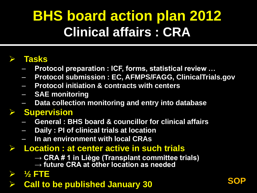# **BHS board action plan 2012 Clinical affairs : CRA**

## **Tasks**

- **Protocol preparation : ICF, forms, statistical review …**
- **Protocol submission : EC, AFMPS/FAGG, ClinicalTrials.gov**
- **Protocol initiation & contracts with centers**
- **SAE monitoring**
- **Data collection monitoring and entry into database**

## **Supervision**

- **General : BHS board & councillor for clinical affairs**
- **Daily : PI of clinical trials at location**
- **In an environment with local CRAs**

## **Location : at center active in such trials**

- → CRA # 1 in Liège (Transplant committee trials)
- **→ future CRA at other location as needed**
- **½ FTE**
- **Call to be published January 30 <b>SOP**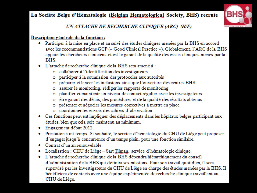#### La Société Belge d'Hématologie (Belgian Hematological Society, BHS) recrute



UN ATTACHE DE RECHERCHE CLINIQUE (ARC) (H/F)

#### Description générale de la fonction :

- Participer à la mise en place et au suivi des études cliniques menées par la BHS en accord avec les recommandations GCP (« Good Clinical Practice »). Globalement, l'ARC de la BHS appuie les chercheurs cliniciens et est le garant de la qualité des essais cliniques menés par la **BHS**
- · L'attaché de recherche clinique de la BHS sera amené à :
	- o collaborer à l'identification des investigateurs
	- o participer à la soumission des protocoles aux autorités
	- o préparer et lancer les inclusions ainsi que l'ouverture des centres BHS
	- o assurer le monitoring, rédiger les rapports de monitoring
	- planifier et maintenir un niveau de contact régulier avec les investigateurs o
	- o être garant des délais, des procédures et de la qualité des résultats obtenus
	- o présenter et négocier les mesures correctives à mettre en place
	- o coordonner les envois des cahiers d'observation
- Ces fonctions peuvent impliquer des déplacements dans les hôpitaux belges participant aux études, bien que cela soit maintenu au minimum.
- Engagement début 2012.
- Prestation à mi-temps. Si souhaité, le service d'hématologie du CHU de Liège peut proposer d'engager jusqu'à concurrence d'un temps plein, pour une fonction similaire.
- Contrat d'un an renouvelable.
- Localisation : CHU de Liège Sart Tilman, service d'hématologie clinique. ۰
- · L'attaché de recherche clinique de la BHS dépendra hiérarchiquement du conseil d'administration de la BHS qui définira ses missions. Pour son travail quotidien, il sera supervisé par les investigateurs du CHU de Liège en charge des études menées par la BHS. Il bénéficiera de contacts avec une équipe expérimentée de recherche clinique travaillant au CHU de Liège.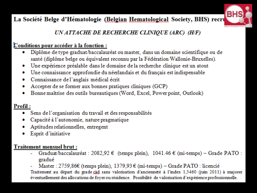### La Société Belge d'Hématologie (Belgian Hematological Society, BHS) recru



### UN ATTACHE DE RECHERCHE CLINIQUE (ARC) (H/F)

#### Conditions pour accéder à la fonction :

- Diplôme de type graduat/baccalauréat ou master, dans un domaine scientifique ou de santé (diplôme belge ou équivalent reconnu par la Fédération Wallonie-Bruxelles).
- Une expérience préalable dans le domaine de la recherche clinique est un atout ۰
- Une connaissance approfondie du néerlandais et du français est indispensable ۰
- Connaissance de l'anglais médical écrit ۰
- Accepter de se former aux bonnes pratiques cliniques (GCP) ۰
- Bonne maîtrise des outils bureautiques (Word, Excel, Power point, Outlook)

#### Profil:

- Sens de l'organisation du travail et des responsabilités
- Capacité à l'autonomie, nature pragmatique ۰
- Aptitudes relationnelles, entregent
- Esprit d'initiative

#### **Traitement mensuel brut:**

- Graduat/baccalauréat :  $2082,92 \in$  (temps plein),  $1041.46 \in$  (mi-temps) Grade PATO : gradué
- Master : 2759,86€ (temps plein), 1379,93 € (mi-temps) Grade PATO : licencié

Traitement au départ du grade câd sans valorisation d'ancienneté à l'index 1,5460 (juin 2011) à majorer éventuellement des allocations de foyer ou résidence. Possibilité de valorisation d'expérience professionnelle.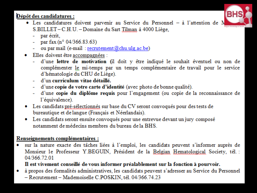### Dépôt des candidatures :



- Les candidatures doivent parvenir au Service du Personnel à l'attention de M S.BILLET-C.H.U. - Domaine du Sart Tilman à 4000 Liège,
	- par écrit,  $\sim 100$
	- par fax (n° 04/366.83.63)  $\omega_{\rm{max}}$
	- ou par mail (e-mail: recrutement@chu.ulg.ac.be)  $\sim 100$
- · Elles doivent être accompagnées :
	- d'une lettre de motivation (il doit y être indiqué le souhait éventuel ou non de  $\omega_{\rm{eff}}$ complémenter le mi-temps par un temps complémentaire de travail pour le service d'hématologie du CHU de Liège).
	- d'un curriculum vitae détaillé.  $\sim$  10  $\pm$
	- d'une copie de votre carte d'identité (avec photo de bonne qualité). a.
	- d'une copie du diplôme requis pour l'engagement (ou copie de la reconnaissance de  $\sim$  10  $\pm$ l'équivalence).
- Les candidats pré-sélectionnés sur base du CV seront convoqués pour des tests de bureautique et de langue (Français et Néerlandais).
- Les candidats seront ensuite convoqués pour une entrevue devant un jury composé notamment de médecins membres du bureau de la BHS.

#### Renseignements complémentaires :

sur la nature exacte des tâches liées à l'emploi, les candidats peuvent s'informer auprès de Monsieur le Professeur Y.BEGUIN, Président de la Belgian Hematological Society, tél. : 04/366.72.01

#### Il est vivement conseillé de vous informer préalablement sur la fonction à pourvoir.

à propos des formalités administratives, les candidats peuvent s'adresser au Service du Personnel ۰ - Recrutement - Mademoiselle C.POSKIN, tél. 04/366.74.23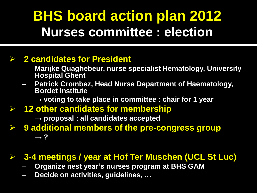# **BHS board action plan 2012 Nurses committee : election**

### **2 candidates for President**

- **Marijke Quaghebeur, nurse specialist Hematology, University Hospital Ghent**
- **Patrick Crombez, Head Nurse Department of Haematology, Bordet Institute**
	- **→ voting to take place in committee : chair for 1 year**
- **12 other candidates for membership**
	- **→ proposal : all candidates accepted**
- **9 additional members of the pre-congress group → ?**

## **3-4 meetings / year at Hof Ter Muschen (UCL St Luc)**

- **Organize nest year's nurses program at BHS GAM**
- **Decide on activities, guidelines, …**